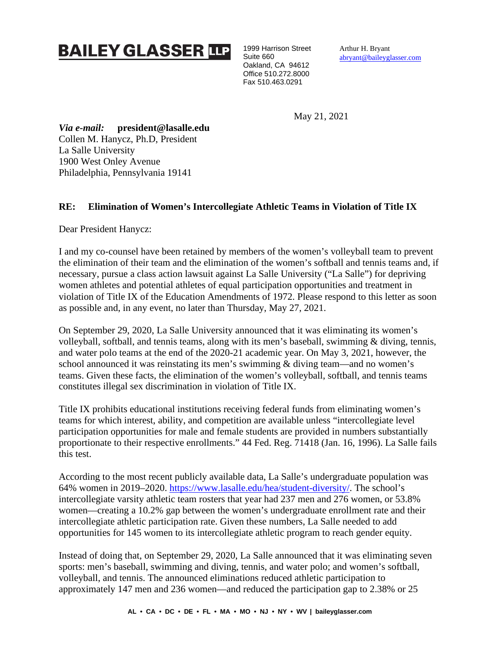## **BAILEY GLASSER TIP**

1999 Harrison Street Suite 660 Oakland, CA 94612 Office 510.272.8000 Fax 510.463.0291

Arthur H. Bryant [abryant@baileyglasser.com](mailto:abryant@baileyglasser.com)

May 21, 2021

*Via e-mail:* **president@lasalle.edu** Collen M. Hanycz, Ph.D, President La Salle University 1900 West Onley Avenue Philadelphia, Pennsylvania 19141

## **RE: Elimination of Women's Intercollegiate Athletic Teams in Violation of Title IX**

Dear President Hanycz:

I and my co-counsel have been retained by members of the women's volleyball team to prevent the elimination of their team and the elimination of the women's softball and tennis teams and, if necessary, pursue a class action lawsuit against La Salle University ("La Salle") for depriving women athletes and potential athletes of equal participation opportunities and treatment in violation of Title IX of the Education Amendments of 1972. Please respond to this letter as soon as possible and, in any event, no later than Thursday, May 27, 2021.

On September 29, 2020, La Salle University announced that it was eliminating its women's volleyball, softball, and tennis teams, along with its men's baseball, swimming & diving, tennis, and water polo teams at the end of the 2020-21 academic year. On May 3, 2021, however, the school announced it was reinstating its men's swimming & diving team—and no women's teams. Given these facts, the elimination of the women's volleyball, softball, and tennis teams constitutes illegal sex discrimination in violation of Title IX.

Title IX prohibits educational institutions receiving federal funds from eliminating women's teams for which interest, ability, and competition are available unless "intercollegiate level participation opportunities for male and female students are provided in numbers substantially proportionate to their respective enrollments." 44 Fed. Reg. 71418 (Jan. 16, 1996). La Salle fails this test.

According to the most recent publicly available data, La Salle's undergraduate population was 64% women in 2019–2020. [https://www.lasalle.edu/hea/student-diversity/.](https://www.lasalle.edu/hea/student-diversity/) The school's intercollegiate varsity athletic team rosters that year had 237 men and 276 women, or 53.8% women—creating a 10.2% gap between the women's undergraduate enrollment rate and their intercollegiate athletic participation rate. Given these numbers, La Salle needed to add opportunities for 145 women to its intercollegiate athletic program to reach gender equity.

Instead of doing that, on September 29, 2020, La Salle announced that it was eliminating seven sports: men's baseball, swimming and diving, tennis, and water polo; and women's softball, volleyball, and tennis. The announced eliminations reduced athletic participation to approximately 147 men and 236 women—and reduced the participation gap to 2.38% or 25